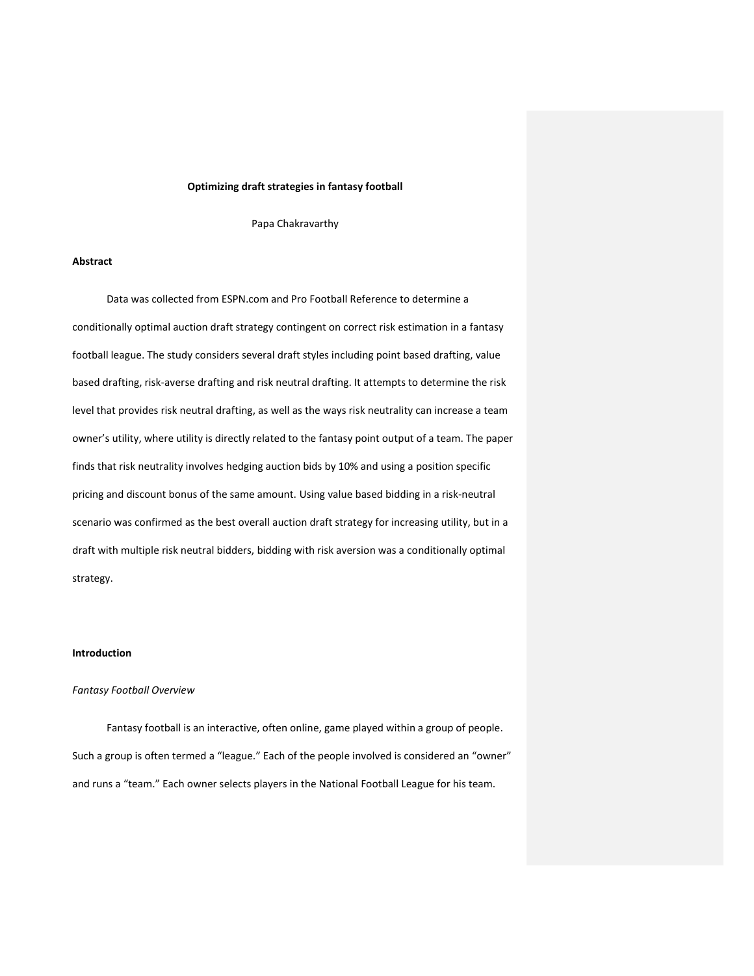#### **Optimizing draft strategies in fantasy football**

Papa Chakravarthy

#### **Abstract**

Data was collected from ESPN.com and Pro Football Reference to determine a conditionally optimal auction draft strategy contingent on correct risk estimation in a fantasy football league. The study considers several draft styles including point based drafting, value based drafting, risk-averse drafting and risk neutral drafting. It attempts to determine the risk level that provides risk neutral drafting, as well as the ways risk neutrality can increase a team owner's utility, where utility is directly related to the fantasy point output of a team. The paper finds that risk neutrality involves hedging auction bids by 10% and using a position specific pricing and discount bonus of the same amount. Using value based bidding in a risk-neutral scenario was confirmed as the best overall auction draft strategy for increasing utility, but in a draft with multiple risk neutral bidders, bidding with risk aversion was a conditionally optimal strategy.

#### **Introduction**

### *Fantasy Football Overview*

Fantasy football is an interactive, often online, game played within a group of people. Such a group is often termed a "league." Each of the people involved is considered an "owner" and runs a "team." Each owner selects players in the National Football League for his team.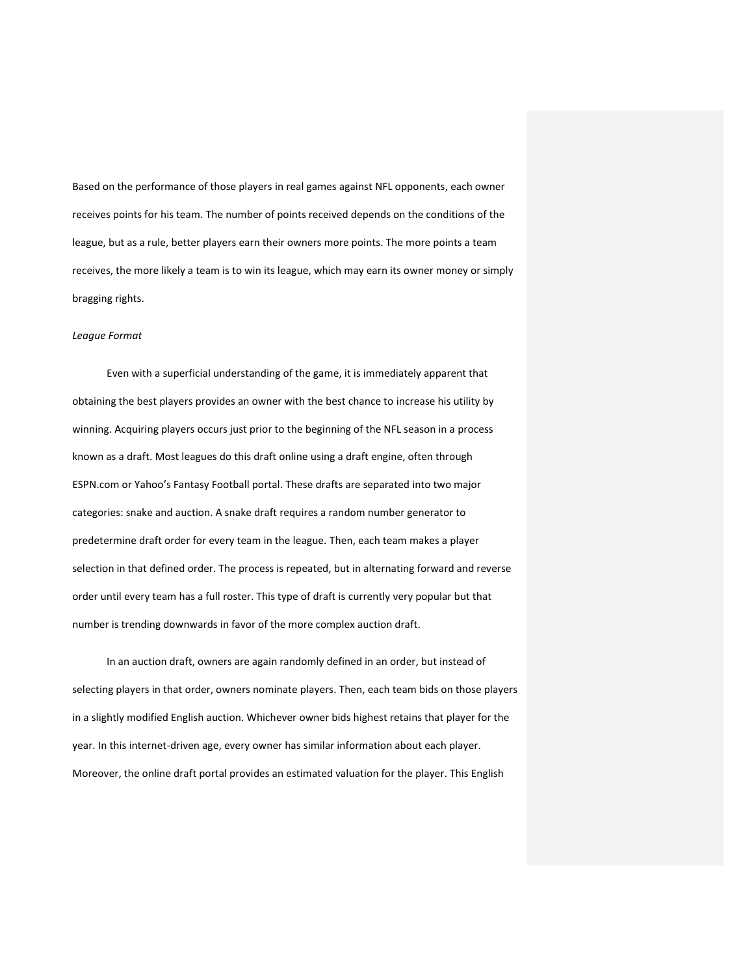Based on the performance of those players in real games against NFL opponents, each owner receives points for his team. The number of points received depends on the conditions of the league, but as a rule, better players earn their owners more points. The more points a team receives, the more likely a team is to win its league, which may earn its owner money or simply bragging rights.

#### *League Format*

Even with a superficial understanding of the game, it is immediately apparent that obtaining the best players provides an owner with the best chance to increase his utility by winning. Acquiring players occurs just prior to the beginning of the NFL season in a process known as a draft. Most leagues do this draft online using a draft engine, often through ESPN.com or Yahoo's Fantasy Football portal. These drafts are separated into two major categories: snake and auction. A snake draft requires a random number generator to predetermine draft order for every team in the league. Then, each team makes a player selection in that defined order. The process is repeated, but in alternating forward and reverse order until every team has a full roster. This type of draft is currently very popular but that number is trending downwards in favor of the more complex auction draft.

In an auction draft, owners are again randomly defined in an order, but instead of selecting players in that order, owners nominate players. Then, each team bids on those players in a slightly modified English auction. Whichever owner bids highest retains that player for the year. In this internet-driven age, every owner has similar information about each player. Moreover, the online draft portal provides an estimated valuation for the player. This English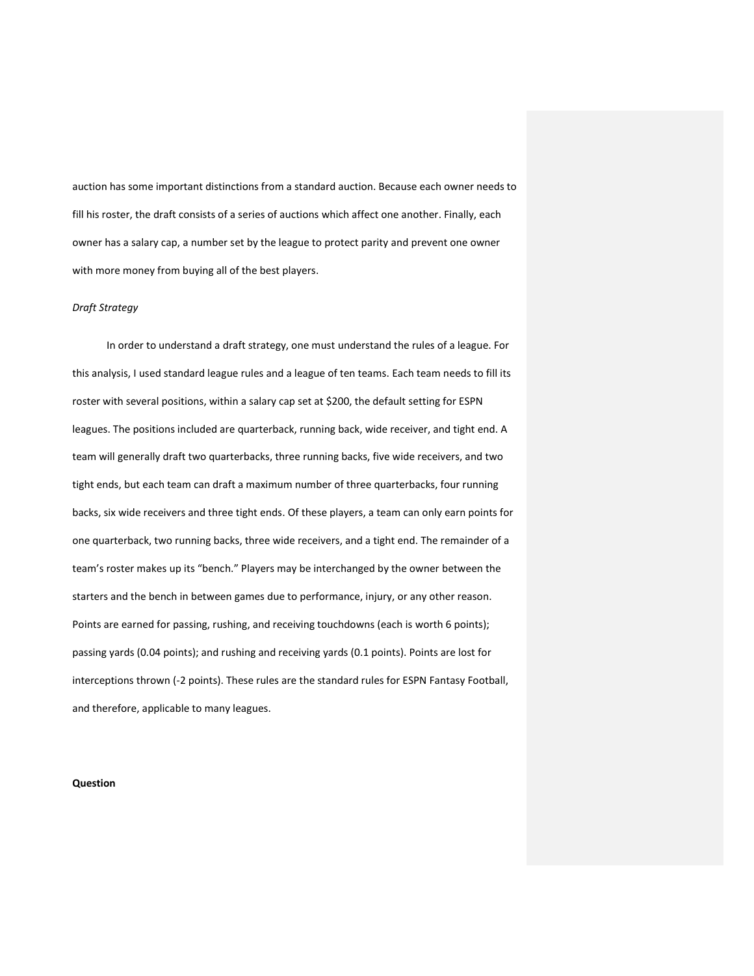auction has some important distinctions from a standard auction. Because each owner needs to fill his roster, the draft consists of a series of auctions which affect one another. Finally, each owner has a salary cap, a number set by the league to protect parity and prevent one owner with more money from buying all of the best players.

#### *Draft Strategy*

In order to understand a draft strategy, one must understand the rules of a league. For this analysis, I used standard league rules and a league of ten teams. Each team needs to fill its roster with several positions, within a salary cap set at \$200, the default setting for ESPN leagues. The positions included are quarterback, running back, wide receiver, and tight end. A team will generally draft two quarterbacks, three running backs, five wide receivers, and two tight ends, but each team can draft a maximum number of three quarterbacks, four running backs, six wide receivers and three tight ends. Of these players, a team can only earn points for one quarterback, two running backs, three wide receivers, and a tight end. The remainder of a team's roster makes up its "bench." Players may be interchanged by the owner between the starters and the bench in between games due to performance, injury, or any other reason. Points are earned for passing, rushing, and receiving touchdowns (each is worth 6 points); passing yards (0.04 points); and rushing and receiving yards (0.1 points). Points are lost for interceptions thrown (-2 points). These rules are the standard rules for ESPN Fantasy Football, and therefore, applicable to many leagues.

### **Question**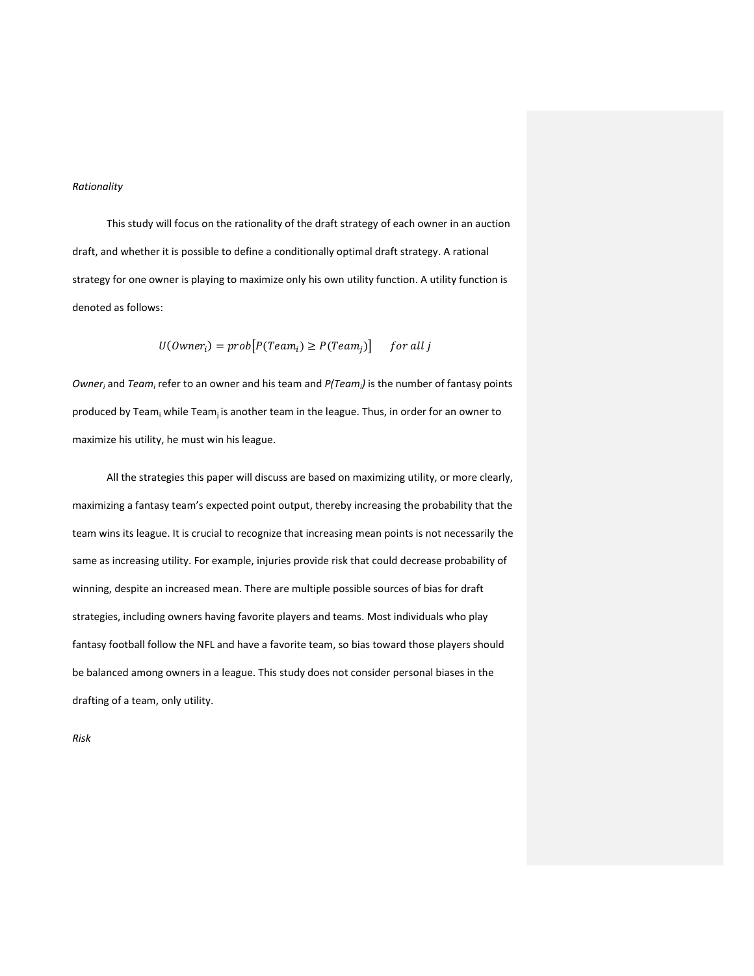### *Rationality*

This study will focus on the rationality of the draft strategy of each owner in an auction draft, and whether it is possible to define a conditionally optimal draft strategy. A rational strategy for one owner is playing to maximize only his own utility function. A utility function is denoted as follows:

$$
U(0wner_i) = prob[P(Team_i) \ge P(Team_j)] \quad for all j
$$

*Owner<sup>i</sup>* and *Team<sup>i</sup>* refer to an owner and his team and *P(Teami)* is the number of fantasy points produced by Team; while Team; is another team in the league. Thus, in order for an owner to maximize his utility, he must win his league.

All the strategies this paper will discuss are based on maximizing utility, or more clearly, maximizing a fantasy team's expected point output, thereby increasing the probability that the team wins its league. It is crucial to recognize that increasing mean points is not necessarily the same as increasing utility. For example, injuries provide risk that could decrease probability of winning, despite an increased mean. There are multiple possible sources of bias for draft strategies, including owners having favorite players and teams. Most individuals who play fantasy football follow the NFL and have a favorite team, so bias toward those players should be balanced among owners in a league. This study does not consider personal biases in the drafting of a team, only utility.

*Risk*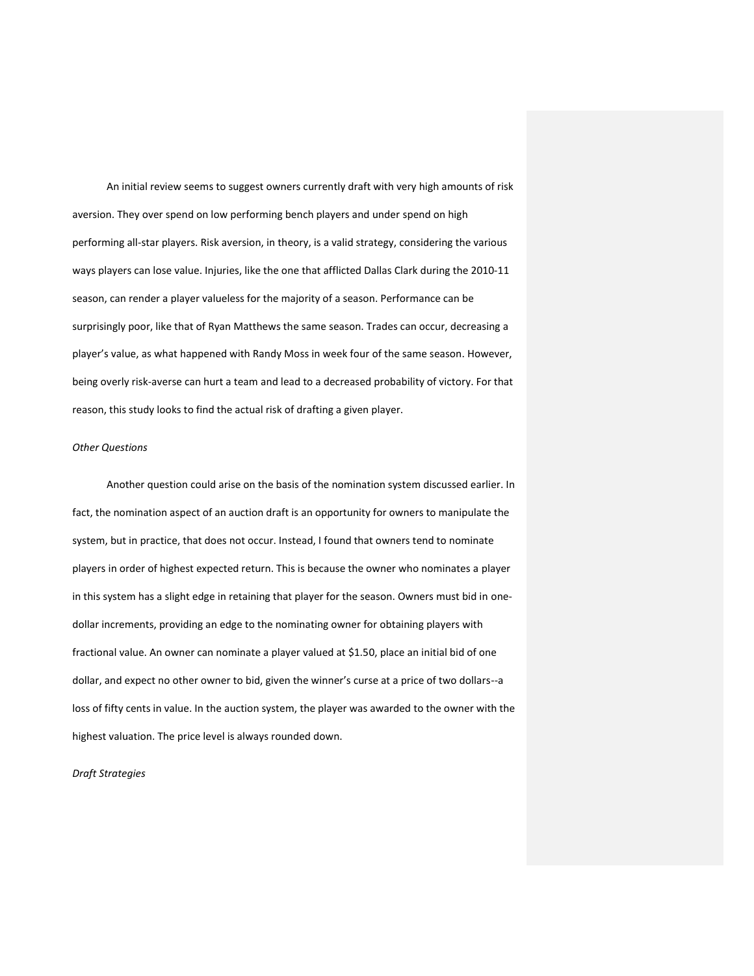An initial review seems to suggest owners currently draft with very high amounts of risk aversion. They over spend on low performing bench players and under spend on high performing all-star players. Risk aversion, in theory, is a valid strategy, considering the various ways players can lose value. Injuries, like the one that afflicted Dallas Clark during the 2010-11 season, can render a player valueless for the majority of a season. Performance can be surprisingly poor, like that of Ryan Matthews the same season. Trades can occur, decreasing a player's value, as what happened with Randy Moss in week four of the same season. However, being overly risk-averse can hurt a team and lead to a decreased probability of victory. For that reason, this study looks to find the actual risk of drafting a given player.

### *Other Questions*

Another question could arise on the basis of the nomination system discussed earlier. In fact, the nomination aspect of an auction draft is an opportunity for owners to manipulate the system, but in practice, that does not occur. Instead, I found that owners tend to nominate players in order of highest expected return. This is because the owner who nominates a player in this system has a slight edge in retaining that player for the season. Owners must bid in onedollar increments, providing an edge to the nominating owner for obtaining players with fractional value. An owner can nominate a player valued at \$1.50, place an initial bid of one dollar, and expect no other owner to bid, given the winner's curse at a price of two dollars--a loss of fifty cents in value. In the auction system, the player was awarded to the owner with the highest valuation. The price level is always rounded down.

### *Draft Strategies*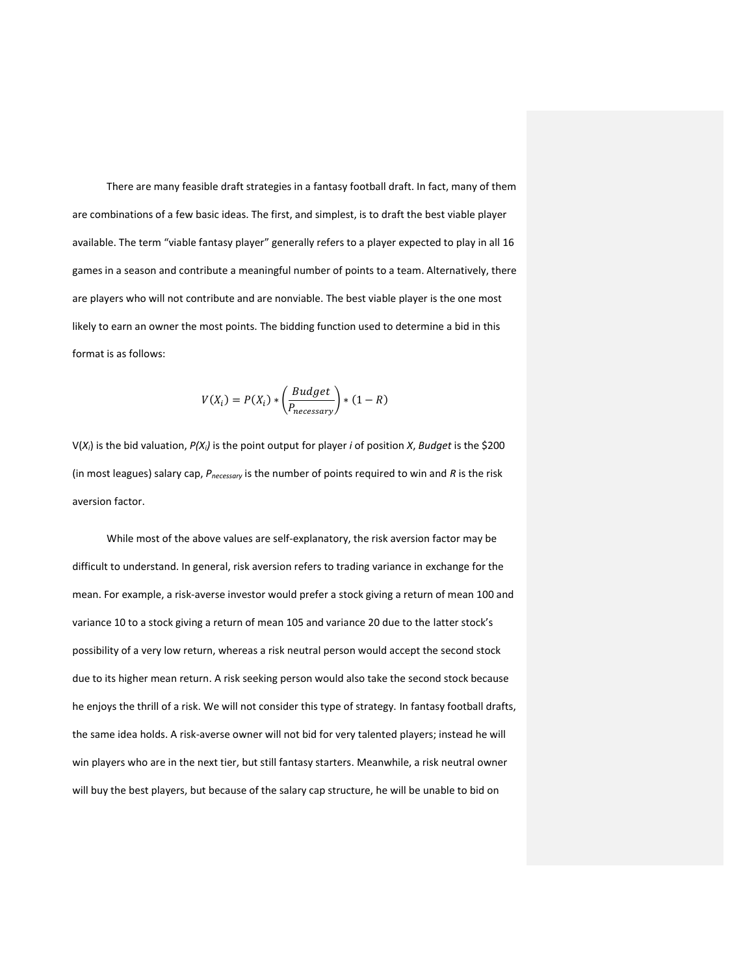There are many feasible draft strategies in a fantasy football draft. In fact, many of them are combinations of a few basic ideas. The first, and simplest, is to draft the best viable player available. The term "viable fantasy player" generally refers to a player expected to play in all 16 games in a season and contribute a meaningful number of points to a team. Alternatively, there are players who will not contribute and are nonviable. The best viable player is the one most likely to earn an owner the most points. The bidding function used to determine a bid in this format is as follows:

$$
V(X_i) = P(X_i) * \left(\frac{Budget}{P_{necessary}}\right) * (1 - R)
$$

V(*Xi*) is the bid valuation, *P(Xi)* is the point output for player *i* of position *X*, *Budget* is the \$200 (in most leagues) salary cap, *Pnecessary* is the number of points required to win and *R* is the risk aversion factor.

While most of the above values are self-explanatory, the risk aversion factor may be difficult to understand. In general, risk aversion refers to trading variance in exchange for the mean. For example, a risk-averse investor would prefer a stock giving a return of mean 100 and variance 10 to a stock giving a return of mean 105 and variance 20 due to the latter stock's possibility of a very low return, whereas a risk neutral person would accept the second stock due to its higher mean return. A risk seeking person would also take the second stock because he enjoys the thrill of a risk. We will not consider this type of strategy. In fantasy football drafts, the same idea holds. A risk-averse owner will not bid for very talented players; instead he will win players who are in the next tier, but still fantasy starters. Meanwhile, a risk neutral owner will buy the best players, but because of the salary cap structure, he will be unable to bid on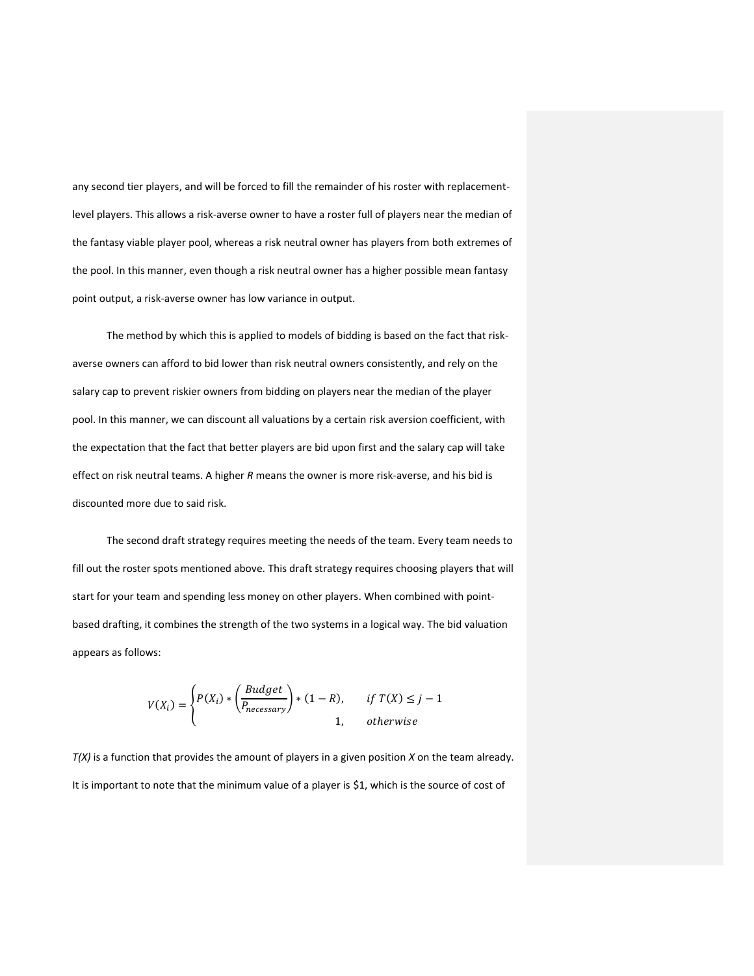any second tier players, and will be forced to fill the remainder of his roster with replacementlevel players. This allows a risk-averse owner to have a roster full of players near the median of the fantasy viable player pool, whereas a risk neutral owner has players from both extremes of the pool. In this manner, even though a risk neutral owner has a higher possible mean fantasy point output, a risk-averse owner has low variance in output.

The method by which this is applied to models of bidding is based on the fact that riskaverse owners can afford to bid lower than risk neutral owners consistently, and rely on the salary cap to prevent riskier owners from bidding on players near the median of the player pool. In this manner, we can discount all valuations by a certain risk aversion coefficient, with the expectation that the fact that better players are bid upon first and the salary cap will take effect on risk neutral teams. A higher *R* means the owner is more risk-averse, and his bid is discounted more due to said risk.

The second draft strategy requires meeting the needs of the team. Every team needs to fill out the roster spots mentioned above. This draft strategy requires choosing players that will start for your team and spending less money on other players. When combined with pointbased drafting, it combines the strength of the two systems in a logical way. The bid valuation appears as follows:

$$
V(X_i) = \begin{cases} P(X_i) * \left(\frac{Budget}{P_{necessary}}\right) * (1 - R), & \text{if } T(X) \leq j - 1 \\ 1, & \text{otherwise} \end{cases}
$$

*T(X)* is a function that provides the amount of players in a given position *X* on the team already. It is important to note that the minimum value of a player is \$1, which is the source of cost of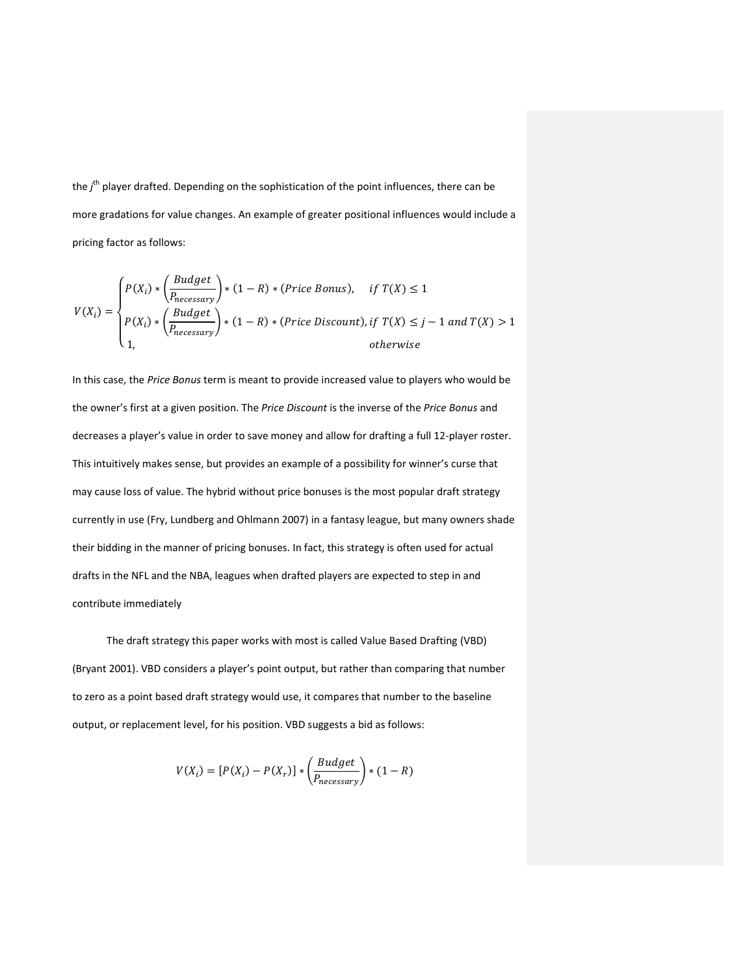the *j*<sup>th</sup> player drafted. Depending on the sophistication of the point influences, there can be more gradations for value changes. An example of greater positional influences would include a pricing factor as follows:

$$
V(X_i) = \begin{cases} P(X_i) * \left(\frac{Budget}{P_{necessary}}\right) * (1 - R) * (Price \: Bonus), & if \: T(X) \le 1 \\ P(X_i) * \left(\frac{Budget}{P_{necessary}}\right) * (1 - R) * (Price \: Discount), if \: T(X) \le j - 1 \: and \: T(X) > 1 \\ 1, & otherwise \end{cases}
$$

In this case, the *Price Bonus* term is meant to provide increased value to players who would be the owner's first at a given position. The *Price Discount* is the inverse of the *Price Bonus* and decreases a player's value in order to save money and allow for drafting a full 12-player roster. This intuitively makes sense, but provides an example of a possibility for winner's curse that may cause loss of value. The hybrid without price bonuses is the most popular draft strategy currently in use (Fry, Lundberg and Ohlmann 2007) in a fantasy league, but many owners shade their bidding in the manner of pricing bonuses. In fact, this strategy is often used for actual drafts in the NFL and the NBA, leagues when drafted players are expected to step in and contribute immediately

The draft strategy this paper works with most is called Value Based Drafting (VBD) (Bryant 2001). VBD considers a player's point output, but rather than comparing that number to zero as a point based draft strategy would use, it compares that number to the baseline output, or replacement level, for his position. VBD suggests a bid as follows:

$$
V(X_i) = [P(X_i) - P(X_r)] * \left(\frac{Budget}{P_{necessary}}\right) * (1 - R)
$$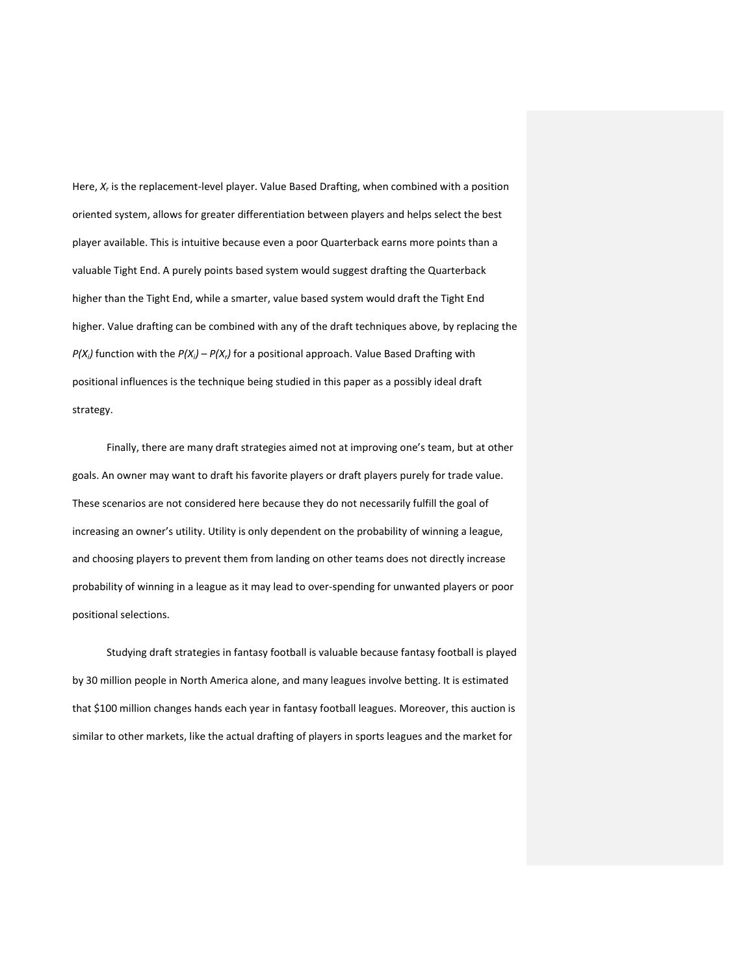Here, *X<sub>r</sub>* is the replacement-level player. Value Based Drafting, when combined with a position oriented system, allows for greater differentiation between players and helps select the best player available. This is intuitive because even a poor Quarterback earns more points than a valuable Tight End. A purely points based system would suggest drafting the Quarterback higher than the Tight End, while a smarter, value based system would draft the Tight End higher. Value drafting can be combined with any of the draft techniques above, by replacing the *P(X<sub>i</sub>*)</sub> function with the *P(X<sub>i</sub>*)  $- P(X_i)$  for a positional approach. Value Based Drafting with positional influences is the technique being studied in this paper as a possibly ideal draft strategy.

Finally, there are many draft strategies aimed not at improving one's team, but at other goals. An owner may want to draft his favorite players or draft players purely for trade value. These scenarios are not considered here because they do not necessarily fulfill the goal of increasing an owner's utility. Utility is only dependent on the probability of winning a league, and choosing players to prevent them from landing on other teams does not directly increase probability of winning in a league as it may lead to over-spending for unwanted players or poor positional selections.

Studying draft strategies in fantasy football is valuable because fantasy football is played by 30 million people in North America alone, and many leagues involve betting. It is estimated that \$100 million changes hands each year in fantasy football leagues. Moreover, this auction is similar to other markets, like the actual drafting of players in sports leagues and the market for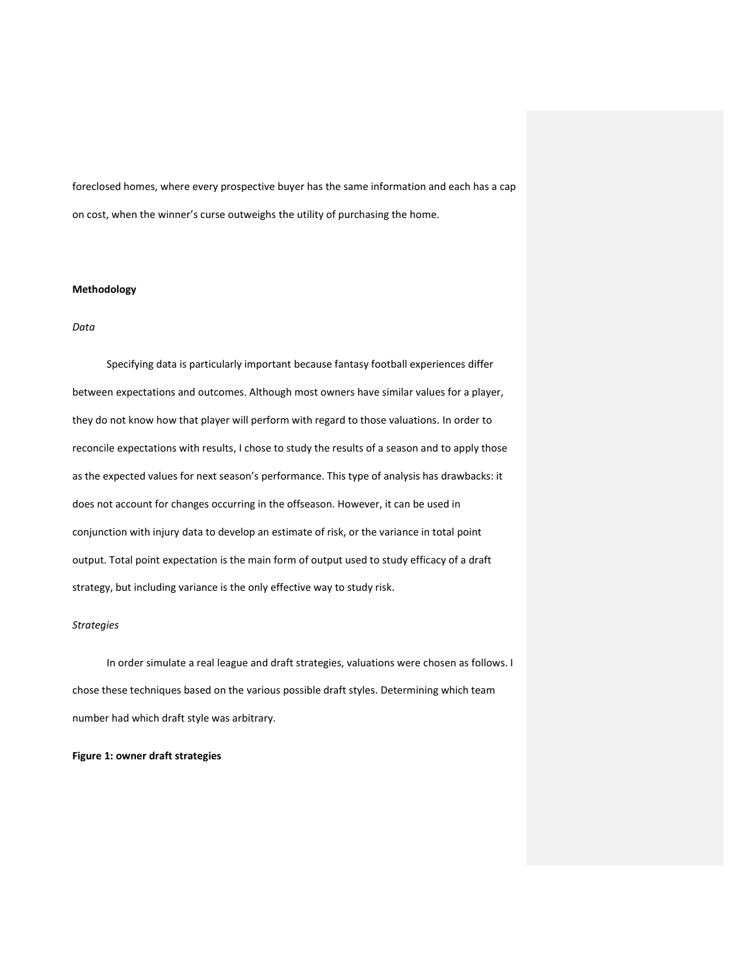foreclosed homes, where every prospective buyer has the same information and each has a cap on cost, when the winner's curse outweighs the utility of purchasing the home.

#### **Methodology**

### *Data*

Specifying data is particularly important because fantasy football experiences differ between expectations and outcomes. Although most owners have similar values for a player, they do not know how that player will perform with regard to those valuations. In order to reconcile expectations with results, I chose to study the results of a season and to apply those as the expected values for next season's performance. This type of analysis has drawbacks: it does not account for changes occurring in the offseason. However, it can be used in conjunction with injury data to develop an estimate of risk, or the variance in total point output. Total point expectation is the main form of output used to study efficacy of a draft strategy, but including variance is the only effective way to study risk.

### *Strategies*

In order simulate a real league and draft strategies, valuations were chosen as follows. I chose these techniques based on the various possible draft styles. Determining which team number had which draft style was arbitrary.

### **Figure 1: owner draft strategies**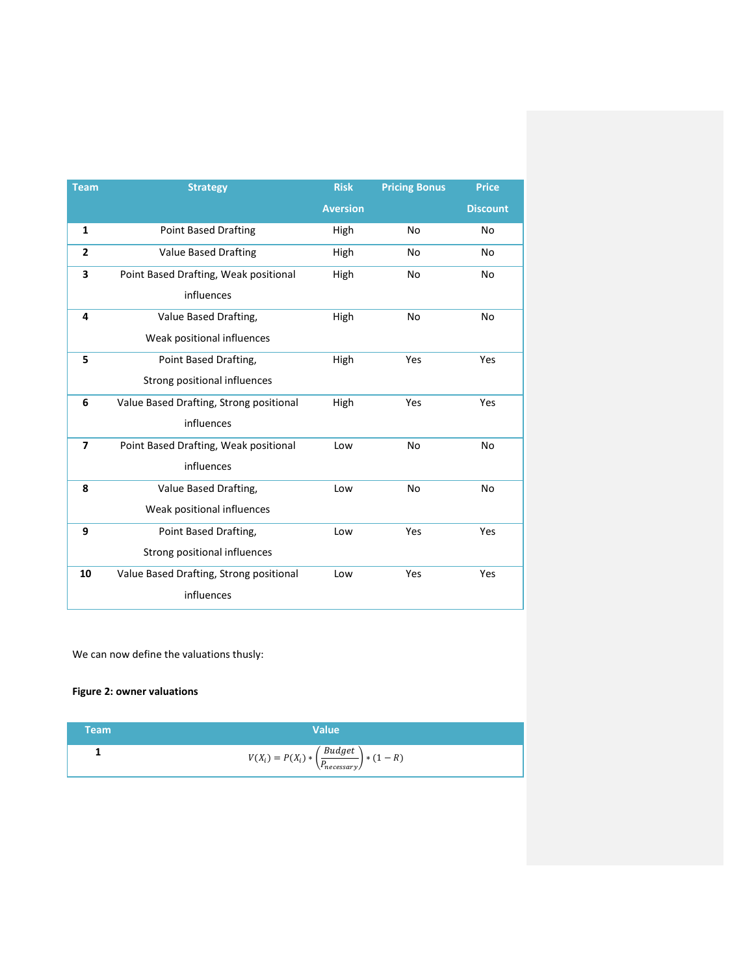| <b>Team</b>             | <b>Strategy</b>                         | <b>Risk</b>     | <b>Pricing Bonus</b> | <b>Price</b>    |
|-------------------------|-----------------------------------------|-----------------|----------------------|-----------------|
|                         |                                         | <b>Aversion</b> |                      | <b>Discount</b> |
| 1                       | <b>Point Based Drafting</b>             | High            | No                   | No              |
| $\overline{2}$          | <b>Value Based Drafting</b>             | High            | No                   | No              |
| 3                       | Point Based Drafting, Weak positional   | High            | No.                  | No              |
|                         | influences                              |                 |                      |                 |
| 4                       | Value Based Drafting,                   | High            | No.                  | No              |
|                         | Weak positional influences              |                 |                      |                 |
| 5                       | Point Based Drafting,                   | High            | Yes                  | Yes             |
|                         | Strong positional influences            |                 |                      |                 |
| 6                       | Value Based Drafting, Strong positional | High            | Yes                  | Yes             |
|                         | influences                              |                 |                      |                 |
| $\overline{\mathbf{z}}$ | Point Based Drafting, Weak positional   | Low             | <b>No</b>            | No              |
|                         | influences                              |                 |                      |                 |
| 8                       | Value Based Drafting,                   | Low             | <b>No</b>            | <b>No</b>       |
|                         | Weak positional influences              |                 |                      |                 |
| 9                       | Point Based Drafting,                   | Low             | Yes                  | Yes             |
|                         | Strong positional influences            |                 |                      |                 |
| 10                      | Value Based Drafting, Strong positional | Low             | Yes                  | Yes             |
|                         | influences                              |                 |                      |                 |

We can now define the valuations thusly:

# **Figure 2: owner valuations**

| <b>Team</b> | Value                                                                   |
|-------------|-------------------------------------------------------------------------|
|             | $V(X_i) = P(X_i) * \left(\frac{Budget}{P_{necessary}}\right) * (1 - R)$ |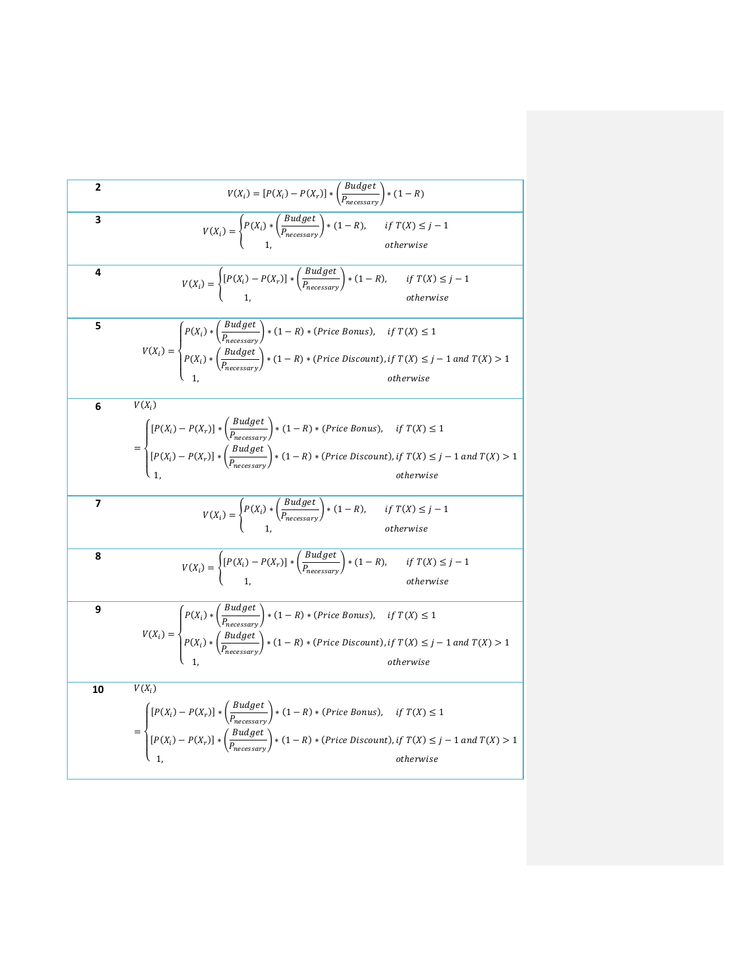2 
$$
V(X_i) = [P(X_i) - P(X_r)] * (\frac{Budget}{P_{necessary}}) * (1 - R)
$$
\n3 
$$
V(X_i) = \begin{cases} P(X_i) * (\frac{Budget}{P_{necessary}}) * (1 - R), & \text{if } T(X) \leq j - 1 \\ 1, & \text{otherwise} \end{cases}
$$
\n4 
$$
V(X_i) = \begin{cases} [P(X_i) - P(X_r)] * (\frac{Budget}{P_{necessary}}) * (1 - R), & \text{if } T(X) \leq j - 1 \\ 1, & \text{otherwise} \end{cases}
$$
\n5 
$$
V(X_i) = \begin{cases} P(X_i) * (\frac{Budget}{P_{nearestary}}) * (1 - R) * (Price Bomus), & \text{if } T(X) \leq 1 \\ P(X_i) * (\frac{Budget}{P_{nearestary}}) * (1 - R) * (Price Bosount), & \text{if } T(X) \leq j - 1 \text{ and } T(X) > 1 \end{cases}
$$
\n6 
$$
V(X_i)
$$
\n6 
$$
V(X_i)
$$
\n7 
$$
= \begin{cases} [P(X_i) - P(X_r)] * (\frac{Budget}{P_{nearestary}}) * (1 - R) * (Price Bosount), & \text{if } T(X) \leq 1 \\ 1, & \text{otherwise} \end{cases}
$$
\n8 
$$
V(X_i) = \begin{cases} P(X_i) * (\frac{Budget}{P_{nearestary}}) * (1 - R) * (Price Boscount), & \text{if } T(X) \leq j - 1 \text{ and } T(X) > 1 \\ 1, & \text{otherwise} \end{cases}
$$
\n9 
$$
V(X_i) = \begin{cases} P(X_i) * (\frac{Budget}{P_{nearestary}}) * (1 - R), & \text{if } T(X) \leq j - 1 \\ 1, & \text{otherwise} \end{cases}
$$
\n9 
$$
V(X_i) = \begin{cases} [P(X_i) - P(X_r)] * (\frac{Budget}{P_{nearestary}}) * (1 - R), & \text{if } T(X) \leq j - 1 \\ 1, & \text{otherwise} \end{cases}
$$
\n10 
$$
V(X_i)
$$
\n11 
$$
V(X_i)
$$
\n12 
$$
= \begin{cases} P(X_i) * (\frac{Budget}{P_{nearestary}}) * (1 - R) * (Price Bonus), & \text{
$$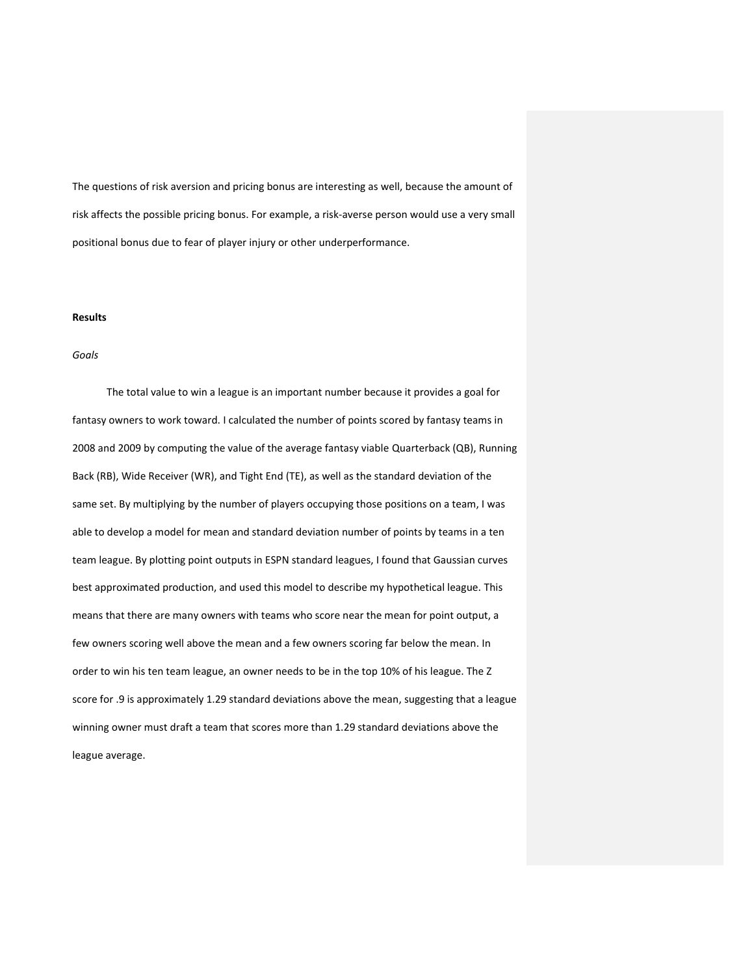The questions of risk aversion and pricing bonus are interesting as well, because the amount of risk affects the possible pricing bonus. For example, a risk-averse person would use a very small positional bonus due to fear of player injury or other underperformance.

#### **Results**

#### *Goals*

The total value to win a league is an important number because it provides a goal for fantasy owners to work toward. I calculated the number of points scored by fantasy teams in 2008 and 2009 by computing the value of the average fantasy viable Quarterback (QB), Running Back (RB), Wide Receiver (WR), and Tight End (TE), as well as the standard deviation of the same set. By multiplying by the number of players occupying those positions on a team, I was able to develop a model for mean and standard deviation number of points by teams in a ten team league. By plotting point outputs in ESPN standard leagues, I found that Gaussian curves best approximated production, and used this model to describe my hypothetical league. This means that there are many owners with teams who score near the mean for point output, a few owners scoring well above the mean and a few owners scoring far below the mean. In order to win his ten team league, an owner needs to be in the top 10% of his league. The Z score for .9 is approximately 1.29 standard deviations above the mean, suggesting that a league winning owner must draft a team that scores more than 1.29 standard deviations above the league average.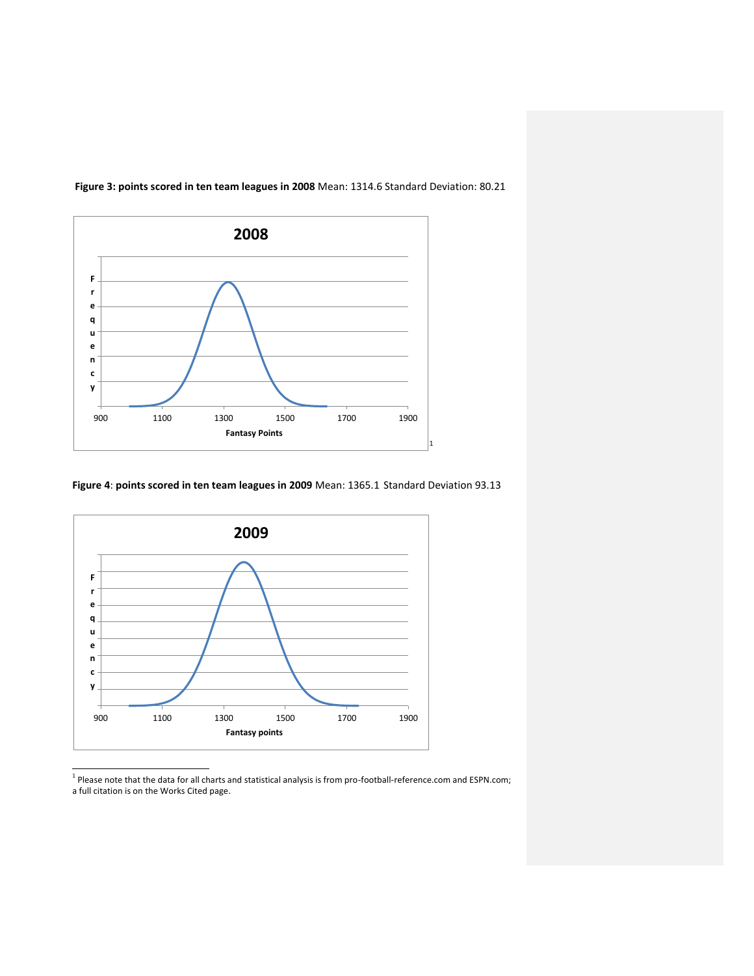

**Figure 3: points scored in ten team leagues in 2008** Mean: 1314.6 Standard Deviation: 80.21

**Figure 4**: **points scored in ten team leagues in 2009** Mean: 1365.1 Standard Deviation 93.13



 1 Please note that the data for all charts and statistical analysis is from pro-football-reference.com and ESPN.com; a full citation is on the Works Cited page.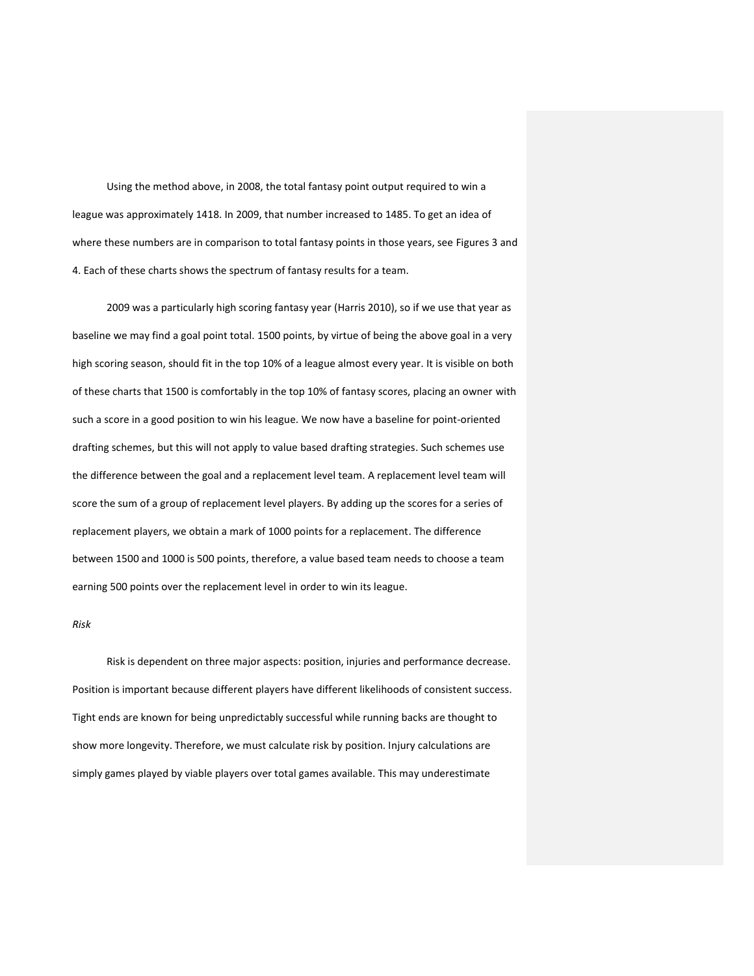Using the method above, in 2008, the total fantasy point output required to win a league was approximately 1418. In 2009, that number increased to 1485. To get an idea of where these numbers are in comparison to total fantasy points in those years, see Figures 3 and 4. Each of these charts shows the spectrum of fantasy results for a team.

2009 was a particularly high scoring fantasy year (Harris 2010), so if we use that year as baseline we may find a goal point total. 1500 points, by virtue of being the above goal in a very high scoring season, should fit in the top 10% of a league almost every year. It is visible on both of these charts that 1500 is comfortably in the top 10% of fantasy scores, placing an owner with such a score in a good position to win his league. We now have a baseline for point-oriented drafting schemes, but this will not apply to value based drafting strategies. Such schemes use the difference between the goal and a replacement level team. A replacement level team will score the sum of a group of replacement level players. By adding up the scores for a series of replacement players, we obtain a mark of 1000 points for a replacement. The difference between 1500 and 1000 is 500 points, therefore, a value based team needs to choose a team earning 500 points over the replacement level in order to win its league.

### *Risk*

Risk is dependent on three major aspects: position, injuries and performance decrease. Position is important because different players have different likelihoods of consistent success. Tight ends are known for being unpredictably successful while running backs are thought to show more longevity. Therefore, we must calculate risk by position. Injury calculations are simply games played by viable players over total games available. This may underestimate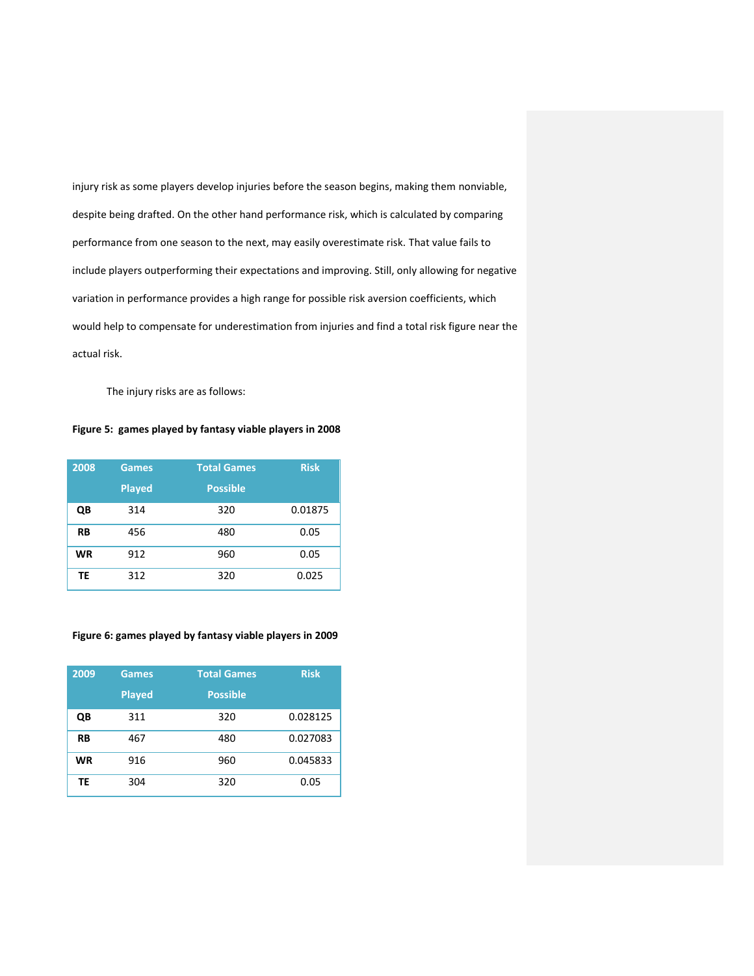injury risk as some players develop injuries before the season begins, making them nonviable, despite being drafted. On the other hand performance risk, which is calculated by comparing performance from one season to the next, may easily overestimate risk. That value fails to include players outperforming their expectations and improving. Still, only allowing for negative variation in performance provides a high range for possible risk aversion coefficients, which would help to compensate for underestimation from injuries and find a total risk figure near the actual risk.

The injury risks are as follows:

### **Figure 5: games played by fantasy viable players in 2008**

| 2008      | <b>Games</b>  | <b>Total Games</b> | <b>Risk</b> |
|-----------|---------------|--------------------|-------------|
|           | <b>Played</b> | <b>Possible</b>    |             |
| QΒ        | 314           | 320                | 0.01875     |
| <b>RB</b> | 456           | 480                | 0.05        |
| <b>WR</b> | 912           | 960                | 0.05        |
| ΤE        | 312           | 320                | 0.025       |

### **Figure 6: games played by fantasy viable players in 2009**

| 2009      | <b>Games</b>  | <b>Total Games</b> | <b>Risk</b> |
|-----------|---------------|--------------------|-------------|
|           | <b>Played</b> | <b>Possible</b>    |             |
| QΒ        | 311           | 320                | 0.028125    |
| <b>RB</b> | 467           | 480                | 0.027083    |
| <b>WR</b> | 916           | 960                | 0.045833    |
| TE        | 304           | 320                | 0.05        |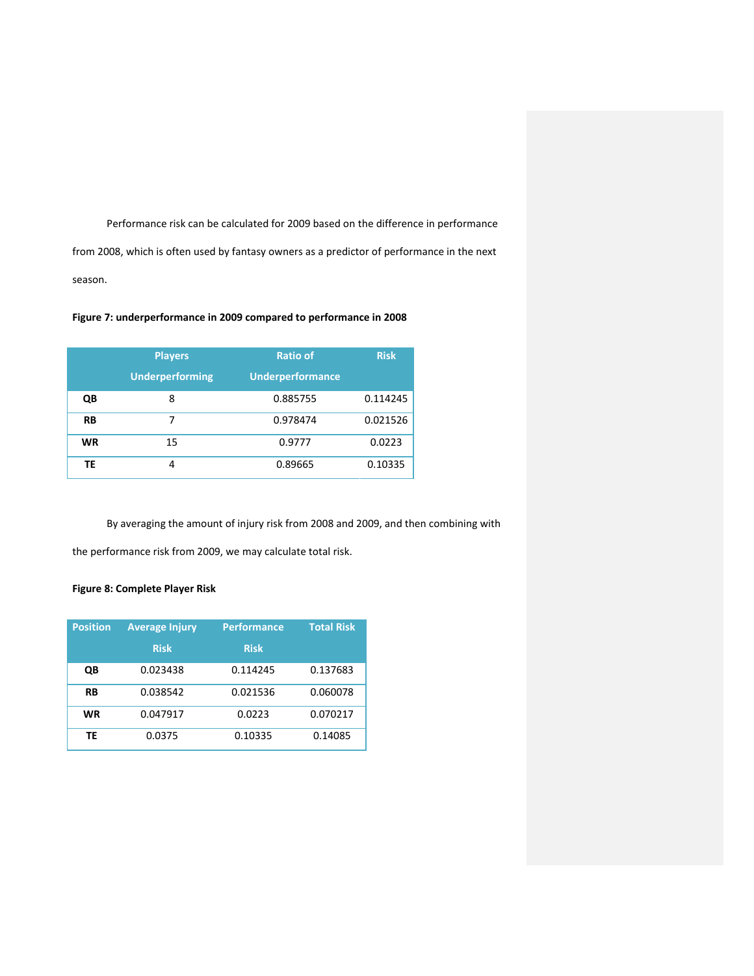Performance risk can be calculated for 2009 based on the difference in performance

from 2008, which is often used by fantasy owners as a predictor of performance in the next season.

# **Figure 7: underperformance in 2009 compared to performance in 2008**

|           | <b>Players</b>         | <b>Ratio of</b>         | <b>Risk</b> |
|-----------|------------------------|-------------------------|-------------|
|           | <b>Underperforming</b> | <b>Underperformance</b> |             |
| QB        | 8                      | 0.885755                | 0.114245    |
| <b>RB</b> | 7                      | 0.978474                | 0.021526    |
| <b>WR</b> | 15                     | 0.9777                  | 0.0223      |
| ΤE        | 4                      | 0.89665                 | 0.10335     |

By averaging the amount of injury risk from 2008 and 2009, and then combining with

the performance risk from 2009, we may calculate total risk.

# **Figure 8: Complete Player Risk**

| <b>Position</b> | <b>Average Injury</b> | <b>Performance</b> | <b>Total Risk</b> |  |
|-----------------|-----------------------|--------------------|-------------------|--|
|                 | <b>Risk</b>           | <b>Risk</b>        |                   |  |
| QΒ              | 0.023438              | 0.114245           | 0.137683          |  |
| <b>RB</b>       | 0.038542              | 0.021536           | 0.060078          |  |
| <b>WR</b>       | 0.047917              | 0.0223             | 0.070217          |  |
| ТF              | 0.0375                | 0.10335            | 0.14085           |  |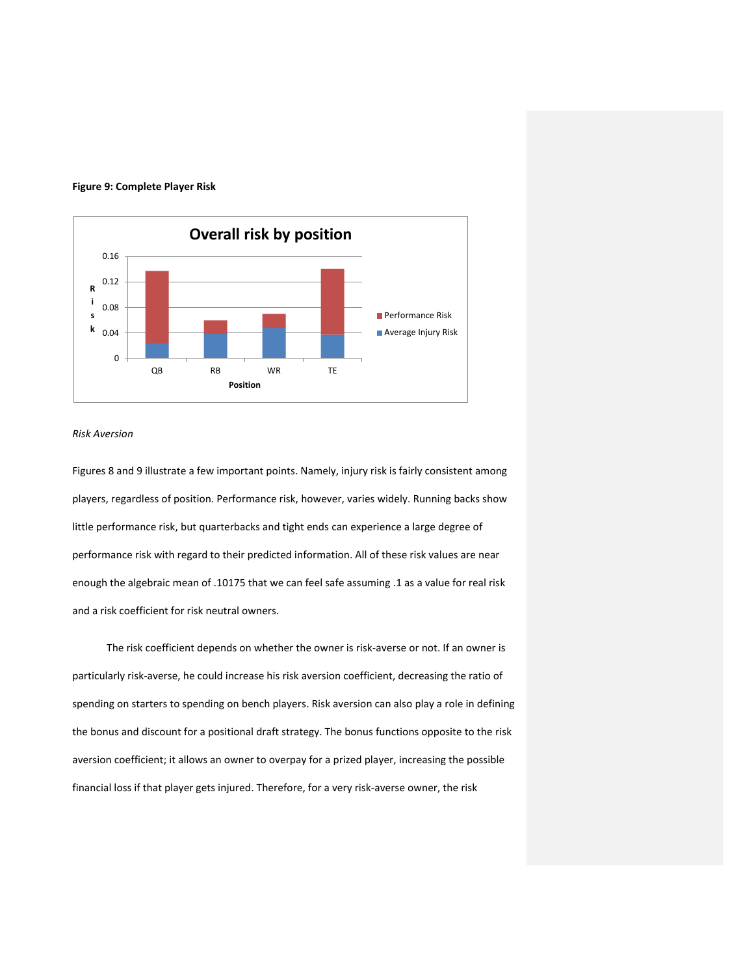

### **Figure 9: Complete Player Risk**

### *Risk Aversion*

Figures 8 and 9 illustrate a few important points. Namely, injury risk is fairly consistent among players, regardless of position. Performance risk, however, varies widely. Running backs show little performance risk, but quarterbacks and tight ends can experience a large degree of performance risk with regard to their predicted information. All of these risk values are near enough the algebraic mean of .10175 that we can feel safe assuming .1 as a value for real risk and a risk coefficient for risk neutral owners.

The risk coefficient depends on whether the owner is risk-averse or not. If an owner is particularly risk-averse, he could increase his risk aversion coefficient, decreasing the ratio of spending on starters to spending on bench players. Risk aversion can also play a role in defining the bonus and discount for a positional draft strategy. The bonus functions opposite to the risk aversion coefficient; it allows an owner to overpay for a prized player, increasing the possible financial loss if that player gets injured. Therefore, for a very risk-averse owner, the risk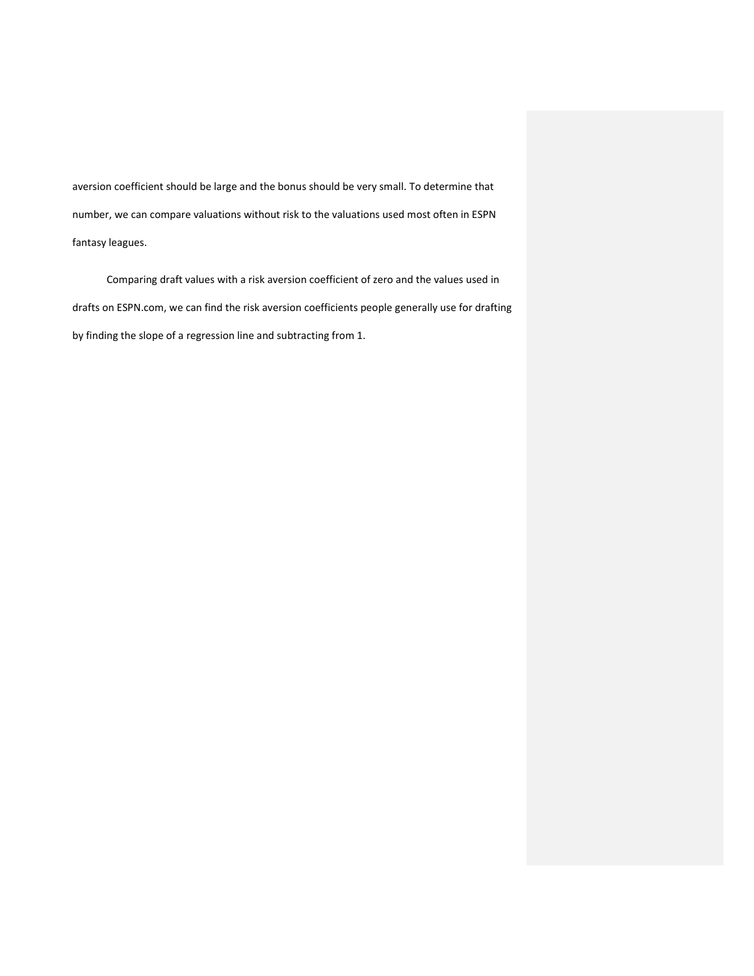aversion coefficient should be large and the bonus should be very small. To determine that number, we can compare valuations without risk to the valuations used most often in ESPN fantasy leagues.

Comparing draft values with a risk aversion coefficient of zero and the values used in drafts on ESPN.com, we can find the risk aversion coefficients people generally use for drafting by finding the slope of a regression line and subtracting from 1.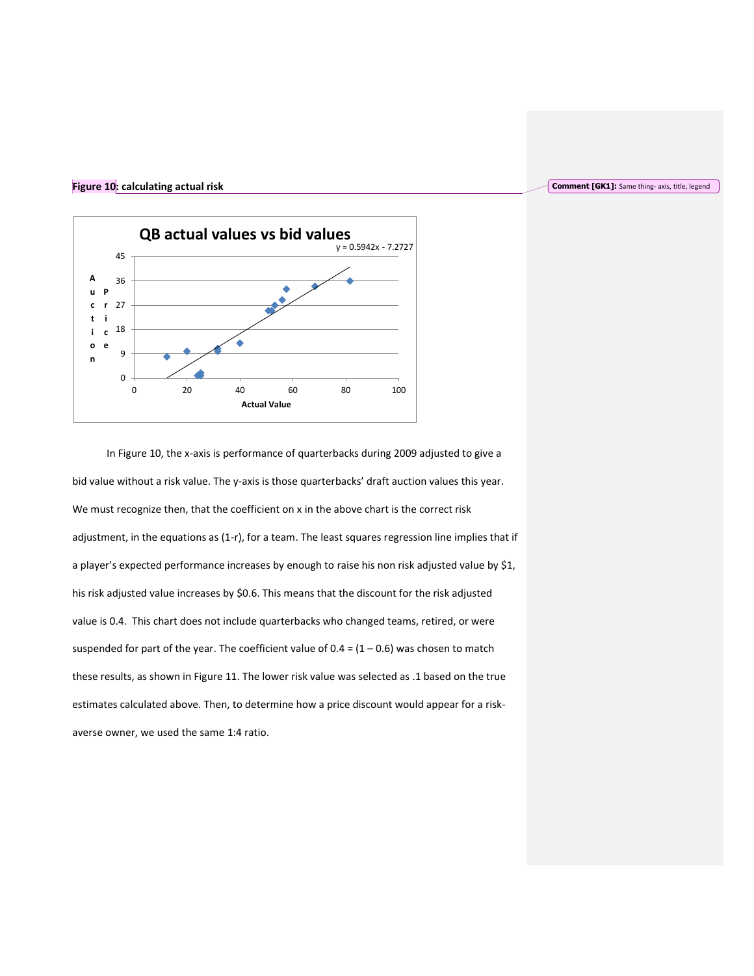# **Figure 10: calculating actual risk**



In Figure 10, the x-axis is performance of quarterbacks during 2009 adjusted to give a bid value without a risk value. The y-axis is those quarterbacks' draft auction values this year. We must recognize then, that the coefficient on x in the above chart is the correct risk adjustment, in the equations as (1-r), for a team. The least squares regression line implies that if a player's expected performance increases by enough to raise his non risk adjusted value by \$1, his risk adjusted value increases by \$0.6. This means that the discount for the risk adjusted value is 0.4. This chart does not include quarterbacks who changed teams, retired, or were suspended for part of the year. The coefficient value of  $0.4 = (1 - 0.6)$  was chosen to match these results, as shown in Figure 11. The lower risk value was selected as .1 based on the true estimates calculated above. Then, to determine how a price discount would appear for a riskaverse owner, we used the same 1:4 ratio.

#### **Comment [GK1]:** Same thing- axis, title, legend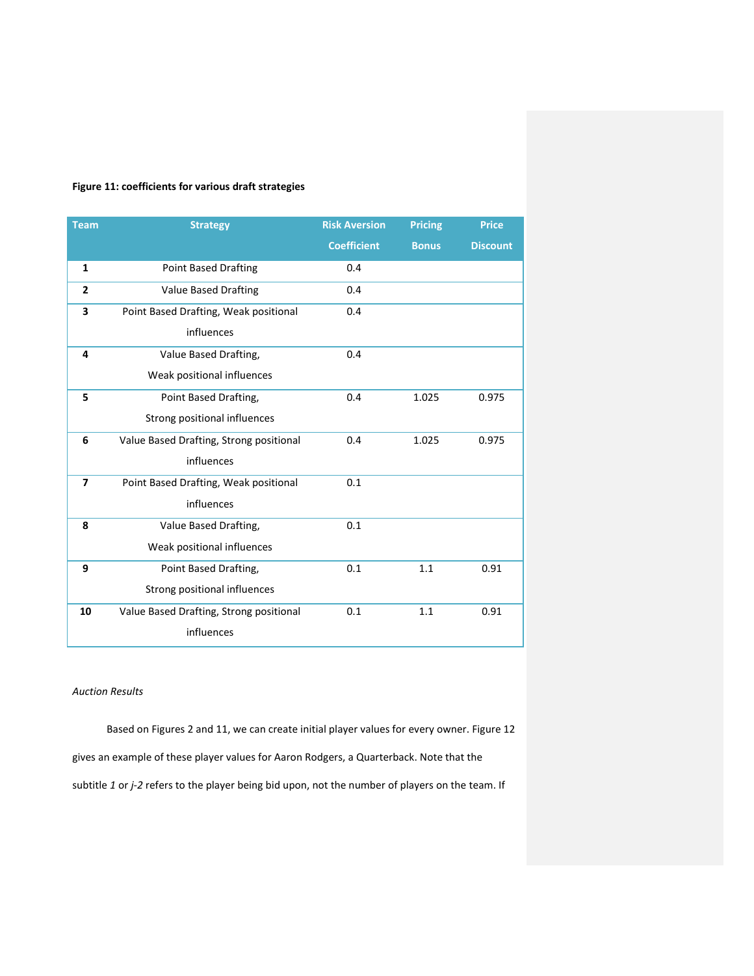# **Figure 11: coefficients for various draft strategies**

| <b>Team</b>    | <b>Strategy</b>                         | <b>Risk Aversion</b> | <b>Pricing</b> | <b>Price</b>    |
|----------------|-----------------------------------------|----------------------|----------------|-----------------|
|                |                                         | <b>Coefficient</b>   | <b>Bonus</b>   | <b>Discount</b> |
| $\mathbf{1}$   | <b>Point Based Drafting</b>             | 0.4                  |                |                 |
| $\overline{2}$ | <b>Value Based Drafting</b>             | 0.4                  |                |                 |
| 3              | Point Based Drafting, Weak positional   | 0.4                  |                |                 |
|                | influences                              |                      |                |                 |
| 4              | Value Based Drafting,                   | 0.4                  |                |                 |
|                | Weak positional influences              |                      |                |                 |
| 5              | Point Based Drafting,                   | 0.4                  | 1.025          | 0.975           |
|                | Strong positional influences            |                      |                |                 |
| 6              | Value Based Drafting, Strong positional | 0.4                  | 1.025          | 0.975           |
|                | influences                              |                      |                |                 |
| $\overline{ }$ | Point Based Drafting, Weak positional   | 0.1                  |                |                 |
|                | influences                              |                      |                |                 |
| 8              | Value Based Drafting,                   | 0.1                  |                |                 |
|                | Weak positional influences              |                      |                |                 |
| 9              | Point Based Drafting,                   | 0.1                  | 1.1            | 0.91            |
|                | Strong positional influences            |                      |                |                 |
| 10             | Value Based Drafting, Strong positional | 0.1                  | 1.1            | 0.91            |
|                | influences                              |                      |                |                 |

# *Auction Results*

Based on Figures 2 and 11, we can create initial player values for every owner. Figure 12 gives an example of these player values for Aaron Rodgers, a Quarterback. Note that the subtitle *1* or *j-2* refers to the player being bid upon, not the number of players on the team. If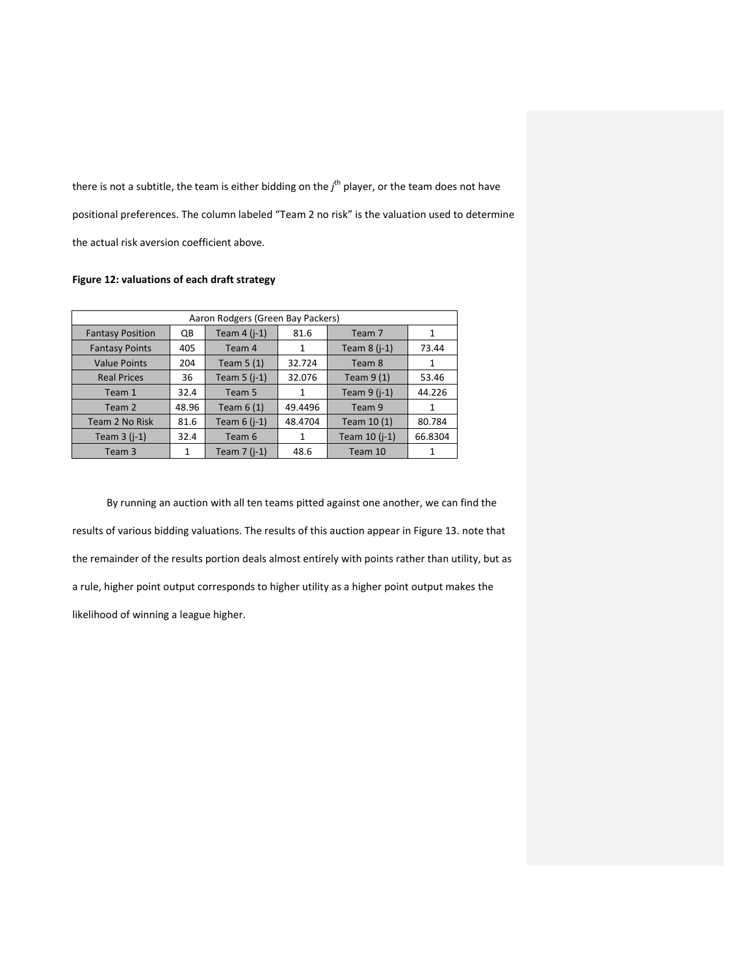there is not a subtitle, the team is either bidding on the *j* th player, or the team does not have positional preferences. The column labeled "Team 2 no risk" is the valuation used to determine the actual risk aversion coefficient above.

# **Figure 12: valuations of each draft strategy**

| Aaron Rodgers (Green Bay Packers) |       |                    |         |                    |         |
|-----------------------------------|-------|--------------------|---------|--------------------|---------|
| <b>Fantasy Position</b>           | QB    | Team $4$ ( $i-1$ ) | 81.6    | Team 7             | 1       |
| <b>Fantasy Points</b>             | 405   | Team 4             | 1       | Team $8$ ( $i-1$ ) | 73.44   |
| <b>Value Points</b>               | 204   | Team $5(1)$        | 32.724  | Team 8             | 1       |
| <b>Real Prices</b>                | 36    | Team $5$ ( $i-1$ ) | 32.076  | Team $9(1)$        | 53.46   |
| Team 1                            | 32.4  | Team 5             | 1       | Team $9$ (j-1)     | 44.226  |
| Team 2                            | 48.96 | Team $6(1)$        | 49.4496 | Team 9             | 1       |
| Team 2 No Risk                    | 81.6  | Team $6$ (j-1)     | 48.4704 | Team 10 (1)        | 80.784  |
| Team $3$ ( $i-1$ )                | 32.4  | Team 6             | 1       | Team 10 (j-1)      | 66.8304 |
| Team 3                            | 1     | Team $7$ ( $i-1$ ) | 48.6    | Team 10            | 1       |

By running an auction with all ten teams pitted against one another, we can find the results of various bidding valuations. The results of this auction appear in Figure 13. note that the remainder of the results portion deals almost entirely with points rather than utility, but as a rule, higher point output corresponds to higher utility as a higher point output makes the likelihood of winning a league higher.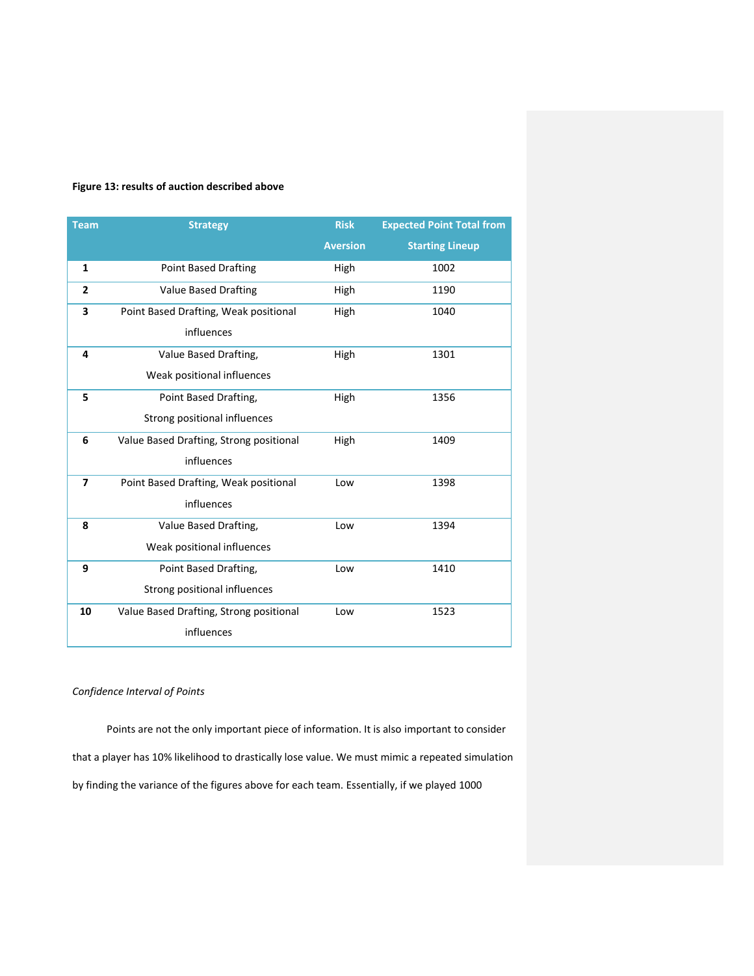# **Figure 13: results of auction described above**

| <b>Team</b>    | <b>Strategy</b>                         | <b>Risk</b>     | <b>Expected Point Total from</b> |
|----------------|-----------------------------------------|-----------------|----------------------------------|
|                |                                         | <b>Aversion</b> | <b>Starting Lineup</b>           |
| $\mathbf{1}$   | <b>Point Based Drafting</b>             | High            | 1002                             |
| $\overline{2}$ | <b>Value Based Drafting</b>             | High            | 1190                             |
| 3              | Point Based Drafting, Weak positional   | High            | 1040                             |
|                | influences                              |                 |                                  |
| 4              | Value Based Drafting,                   | High            | 1301                             |
|                | Weak positional influences              |                 |                                  |
| 5              | Point Based Drafting,                   | High            | 1356                             |
|                | Strong positional influences            |                 |                                  |
| 6              | Value Based Drafting, Strong positional | High            | 1409                             |
|                | influences                              |                 |                                  |
| $\overline{ }$ | Point Based Drafting, Weak positional   | Low             | 1398                             |
|                | influences                              |                 |                                  |
| 8              | Value Based Drafting,                   | Low             | 1394                             |
|                | Weak positional influences              |                 |                                  |
| 9              | Point Based Drafting,                   | Low             | 1410                             |
|                | Strong positional influences            |                 |                                  |
| 10             | Value Based Drafting, Strong positional | Low             | 1523                             |
|                | influences                              |                 |                                  |

# *Confidence Interval of Points*

Points are not the only important piece of information. It is also important to consider that a player has 10% likelihood to drastically lose value. We must mimic a repeated simulation by finding the variance of the figures above for each team. Essentially, if we played 1000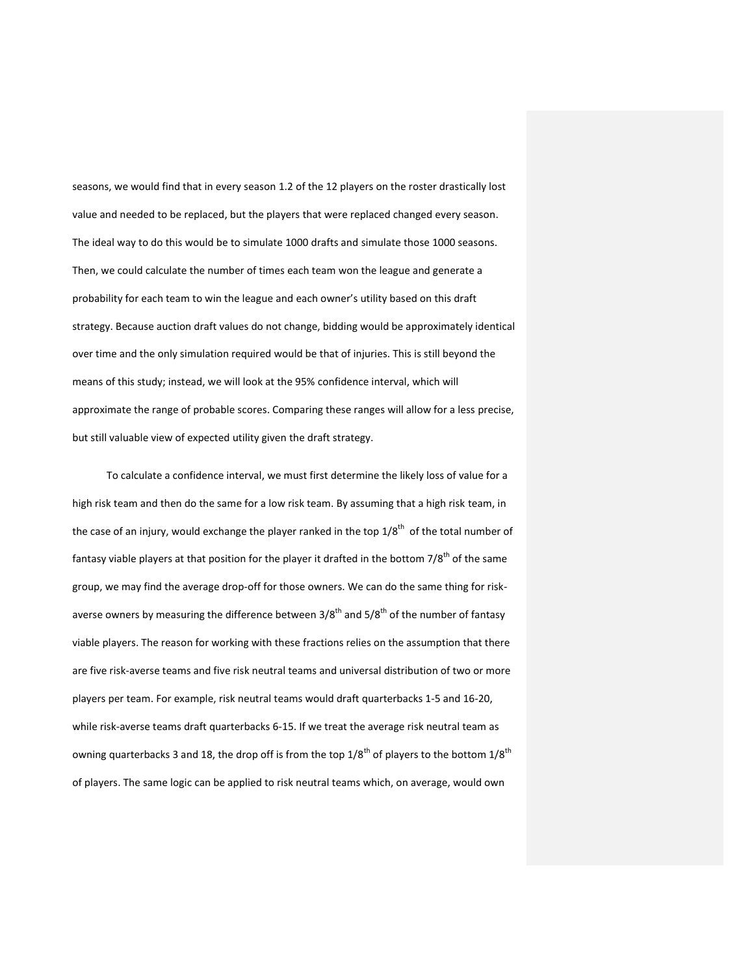seasons, we would find that in every season 1.2 of the 12 players on the roster drastically lost value and needed to be replaced, but the players that were replaced changed every season. The ideal way to do this would be to simulate 1000 drafts and simulate those 1000 seasons. Then, we could calculate the number of times each team won the league and generate a probability for each team to win the league and each owner's utility based on this draft strategy. Because auction draft values do not change, bidding would be approximately identical over time and the only simulation required would be that of injuries. This is still beyond the means of this study; instead, we will look at the 95% confidence interval, which will approximate the range of probable scores. Comparing these ranges will allow for a less precise, but still valuable view of expected utility given the draft strategy.

To calculate a confidence interval, we must first determine the likely loss of value for a high risk team and then do the same for a low risk team. By assuming that a high risk team, in the case of an injury, would exchange the player ranked in the top  $1/8^{th}$  of the total number of fantasy viable players at that position for the player it drafted in the bottom 7/8<sup>th</sup> of the same group, we may find the average drop-off for those owners. We can do the same thing for riskaverse owners by measuring the difference between 3/8<sup>th</sup> and 5/8<sup>th</sup> of the number of fantasy viable players. The reason for working with these fractions relies on the assumption that there are five risk-averse teams and five risk neutral teams and universal distribution of two or more players per team. For example, risk neutral teams would draft quarterbacks 1-5 and 16-20, while risk-averse teams draft quarterbacks 6-15. If we treat the average risk neutral team as owning quarterbacks 3 and 18, the drop off is from the top  $1/8^{th}$  of players to the bottom  $1/8^{th}$ of players. The same logic can be applied to risk neutral teams which, on average, would own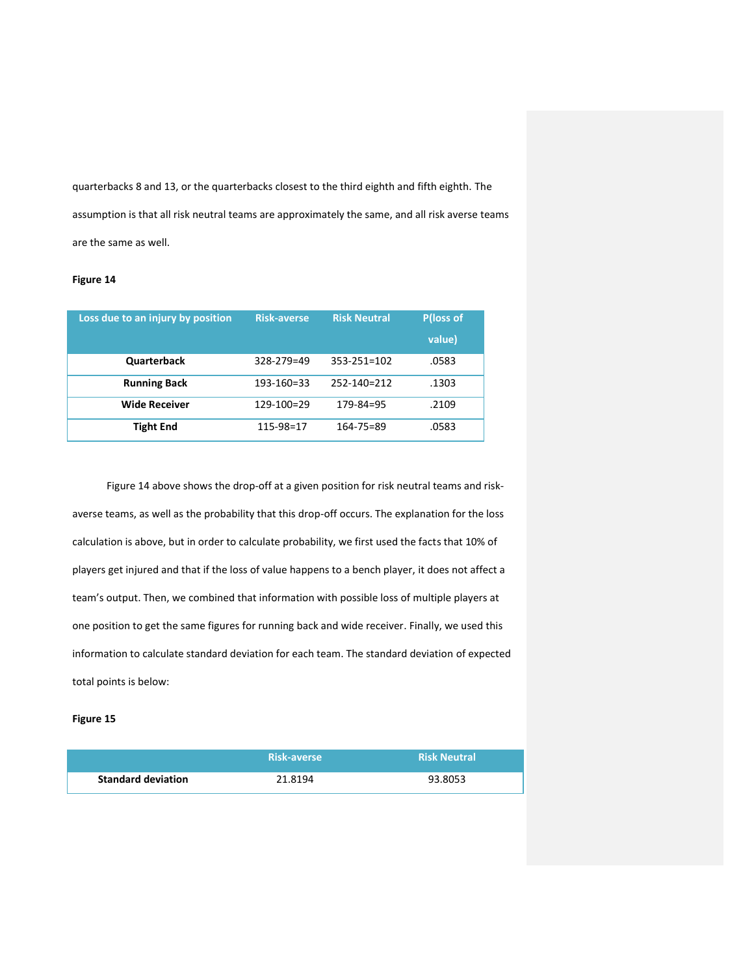quarterbacks 8 and 13, or the quarterbacks closest to the third eighth and fifth eighth. The assumption is that all risk neutral teams are approximately the same, and all risk averse teams are the same as well.

### **Figure 14**

| Loss due to an injury by position | <b>Risk-averse</b> | <b>Risk Neutral</b> | <b>P(loss of</b><br>value) |
|-----------------------------------|--------------------|---------------------|----------------------------|
| <b>Quarterback</b>                | 328-279=49         | $353 - 251 = 102$   | .0583                      |
| <b>Running Back</b>               | 193-160=33         | 252-140=212         | .1303                      |
| <b>Wide Receiver</b>              | 129-100=29         | $179 - 84 = 95$     | .2109                      |
| <b>Tight End</b>                  | $115 - 98 = 17$    | $164 - 75 = 89$     | .0583                      |

Figure 14 above shows the drop-off at a given position for risk neutral teams and riskaverse teams, as well as the probability that this drop-off occurs. The explanation for the loss calculation is above, but in order to calculate probability, we first used the facts that 10% of players get injured and that if the loss of value happens to a bench player, it does not affect a team's output. Then, we combined that information with possible loss of multiple players at one position to get the same figures for running back and wide receiver. Finally, we used this information to calculate standard deviation for each team. The standard deviation of expected total points is below:

### **Figure 15**

|                           | <b>Risk-averse</b> | <b>Risk Neutral</b> |
|---------------------------|--------------------|---------------------|
| <b>Standard deviation</b> | 21.8194            | 93.8053             |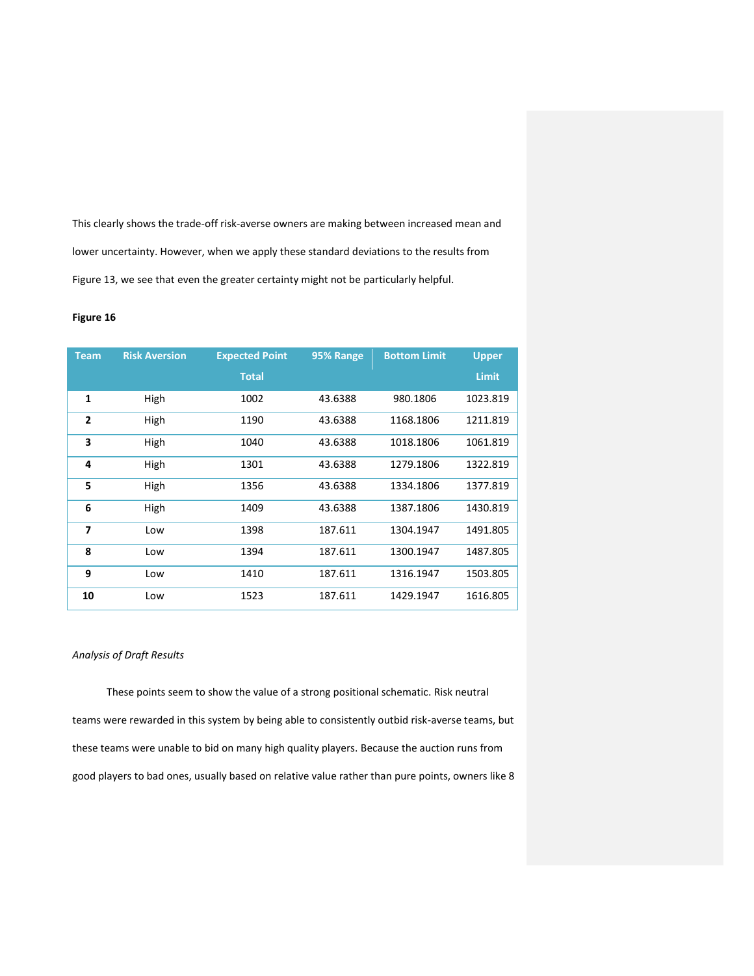This clearly shows the trade-off risk-averse owners are making between increased mean and lower uncertainty. However, when we apply these standard deviations to the results from Figure 13, we see that even the greater certainty might not be particularly helpful.

### **Figure 16**

| <b>Team</b>    | <b>Risk Aversion</b> | <b>Expected Point</b> | 95% Range | <b>Bottom Limit</b> | <b>Upper</b> |
|----------------|----------------------|-----------------------|-----------|---------------------|--------------|
|                |                      | <b>Total</b>          |           |                     | <b>Limit</b> |
| 1              | High                 | 1002                  | 43.6388   | 980.1806            | 1023.819     |
| $\overline{2}$ | High                 | 1190                  | 43.6388   | 1168.1806           | 1211.819     |
| 3              | High                 | 1040                  | 43.6388   | 1018.1806           | 1061.819     |
| 4              | High                 | 1301                  | 43.6388   | 1279.1806           | 1322.819     |
| 5              | High                 | 1356                  | 43.6388   | 1334.1806           | 1377.819     |
| 6              | High                 | 1409                  | 43.6388   | 1387.1806           | 1430.819     |
| 7              | Low                  | 1398                  | 187.611   | 1304.1947           | 1491.805     |
| 8              | Low                  | 1394                  | 187.611   | 1300.1947           | 1487.805     |
| 9              | Low                  | 1410                  | 187.611   | 1316.1947           | 1503.805     |
| 10             | Low                  | 1523                  | 187.611   | 1429.1947           | 1616.805     |

# *Analysis of Draft Results*

These points seem to show the value of a strong positional schematic. Risk neutral teams were rewarded in this system by being able to consistently outbid risk-averse teams, but these teams were unable to bid on many high quality players. Because the auction runs from good players to bad ones, usually based on relative value rather than pure points, owners like 8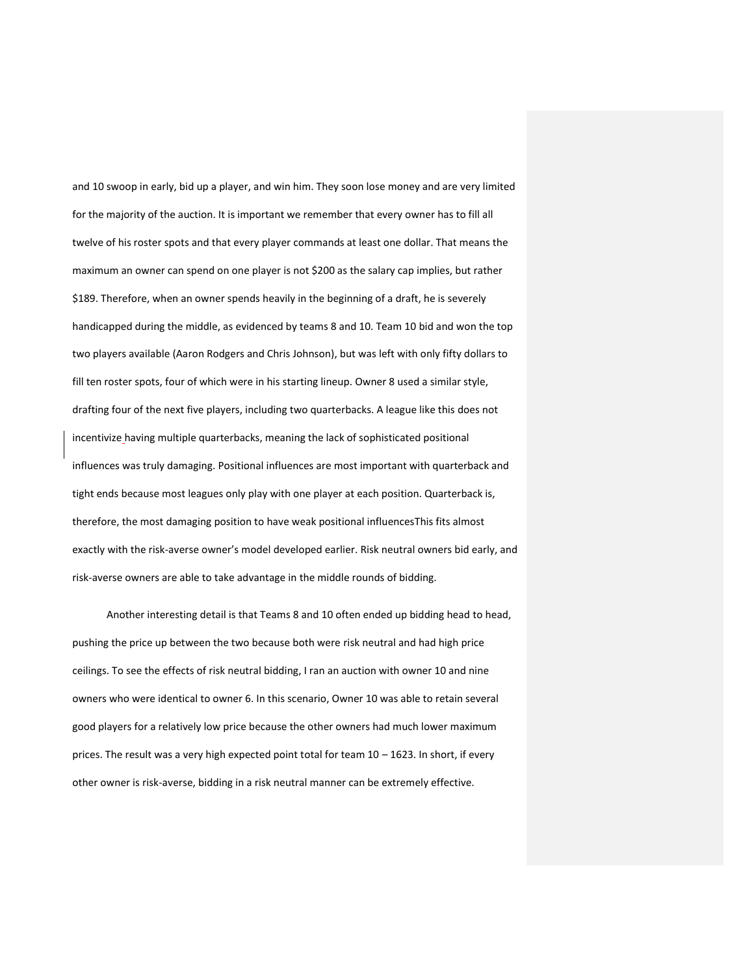and 10 swoop in early, bid up a player, and win him. They soon lose money and are very limited for the majority of the auction. It is important we remember that every owner has to fill all twelve of his roster spots and that every player commands at least one dollar. That means the maximum an owner can spend on one player is not \$200 as the salary cap implies, but rather \$189. Therefore, when an owner spends heavily in the beginning of a draft, he is severely handicapped during the middle, as evidenced by teams 8 and 10. Team 10 bid and won the top two players available (Aaron Rodgers and Chris Johnson), but was left with only fifty dollars to fill ten roster spots, four of which were in his starting lineup. Owner 8 used a similar style, drafting four of the next five players, including two quarterbacks. A league like this does not incentivize having multiple quarterbacks, meaning the lack of sophisticated positional influences was truly damaging. Positional influences are most important with quarterback and tight ends because most leagues only play with one player at each position. Quarterback is, therefore, the most damaging position to have weak positional influencesThis fits almost exactly with the risk-averse owner's model developed earlier. Risk neutral owners bid early, and risk-averse owners are able to take advantage in the middle rounds of bidding.

Another interesting detail is that Teams 8 and 10 often ended up bidding head to head, pushing the price up between the two because both were risk neutral and had high price ceilings. To see the effects of risk neutral bidding, I ran an auction with owner 10 and nine owners who were identical to owner 6. In this scenario, Owner 10 was able to retain several good players for a relatively low price because the other owners had much lower maximum prices. The result was a very high expected point total for team 10 – 1623. In short, if every other owner is risk-averse, bidding in a risk neutral manner can be extremely effective.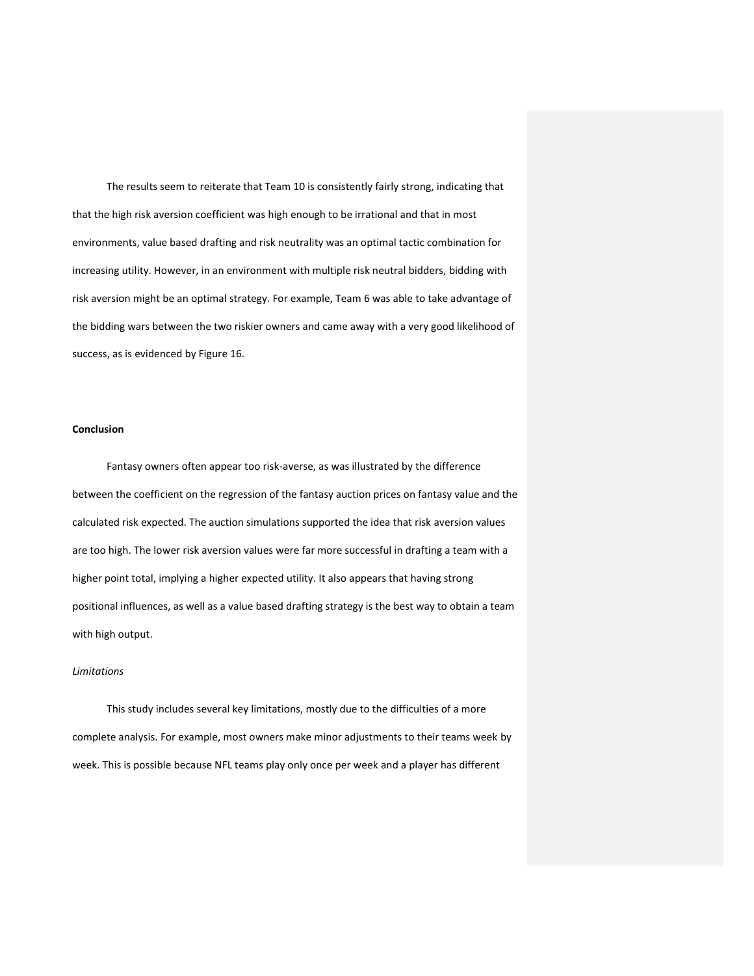The results seem to reiterate that Team 10 is consistently fairly strong, indicating that that the high risk aversion coefficient was high enough to be irrational and that in most environments, value based drafting and risk neutrality was an optimal tactic combination for increasing utility. However, in an environment with multiple risk neutral bidders, bidding with risk aversion might be an optimal strategy. For example, Team 6 was able to take advantage of the bidding wars between the two riskier owners and came away with a very good likelihood of success, as is evidenced by Figure 16.

### **Conclusion**

Fantasy owners often appear too risk-averse, as was illustrated by the difference between the coefficient on the regression of the fantasy auction prices on fantasy value and the calculated risk expected. The auction simulations supported the idea that risk aversion values are too high. The lower risk aversion values were far more successful in drafting a team with a higher point total, implying a higher expected utility. It also appears that having strong positional influences, as well as a value based drafting strategy is the best way to obtain a team with high output.

### *Limitations*

This study includes several key limitations, mostly due to the difficulties of a more complete analysis. For example, most owners make minor adjustments to their teams week by week. This is possible because NFL teams play only once per week and a player has different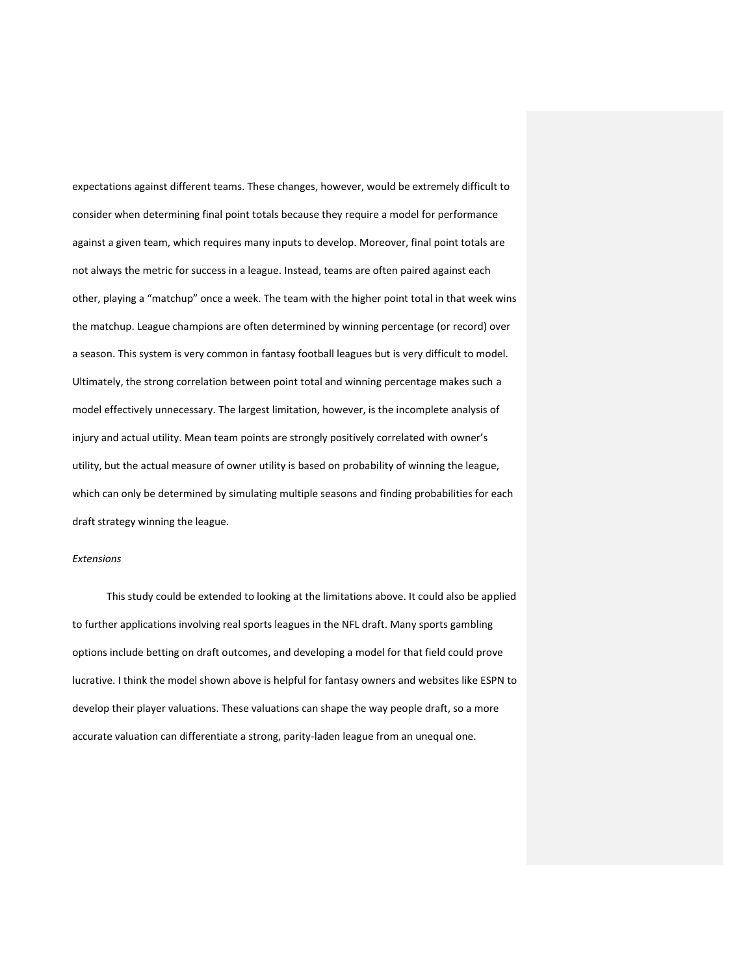expectations against different teams. These changes, however, would be extremely difficult to consider when determining final point totals because they require a model for performance against a given team, which requires many inputs to develop. Moreover, final point totals are not always the metric for success in a league. Instead, teams are often paired against each other, playing a "matchup" once a week. The team with the higher point total in that week wins the matchup. League champions are often determined by winning percentage (or record) over a season. This system is very common in fantasy football leagues but is very difficult to model. Ultimately, the strong correlation between point total and winning percentage makes such a model effectively unnecessary. The largest limitation, however, is the incomplete analysis of injury and actual utility. Mean team points are strongly positively correlated with owner's utility, but the actual measure of owner utility is based on probability of winning the league, which can only be determined by simulating multiple seasons and finding probabilities for each draft strategy winning the league.

#### *Extensions*

This study could be extended to looking at the limitations above. It could also be applied to further applications involving real sports leagues in the NFL draft. Many sports gambling options include betting on draft outcomes, and developing a model for that field could prove lucrative. I think the model shown above is helpful for fantasy owners and websites like ESPN to develop their player valuations. These valuations can shape the way people draft, so a more accurate valuation can differentiate a strong, parity-laden league from an unequal one.